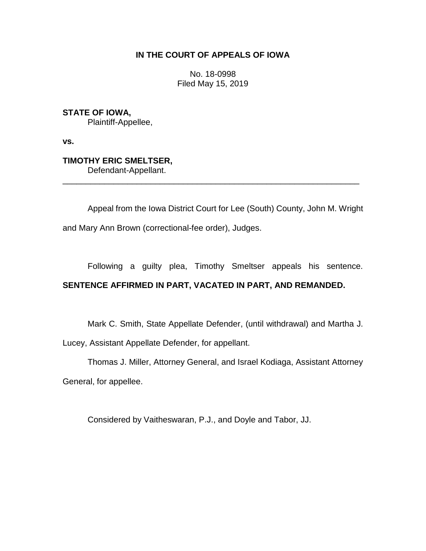## **IN THE COURT OF APPEALS OF IOWA**

No. 18-0998 Filed May 15, 2019

**STATE OF IOWA,** Plaintiff-Appellee,

**vs.**

**TIMOTHY ERIC SMELTSER,** Defendant-Appellant.

Appeal from the Iowa District Court for Lee (South) County, John M. Wright

\_\_\_\_\_\_\_\_\_\_\_\_\_\_\_\_\_\_\_\_\_\_\_\_\_\_\_\_\_\_\_\_\_\_\_\_\_\_\_\_\_\_\_\_\_\_\_\_\_\_\_\_\_\_\_\_\_\_\_\_\_\_\_\_

and Mary Ann Brown (correctional-fee order), Judges.

Following a guilty plea, Timothy Smeltser appeals his sentence.

# **SENTENCE AFFIRMED IN PART, VACATED IN PART, AND REMANDED.**

Mark C. Smith, State Appellate Defender, (until withdrawal) and Martha J.

Lucey, Assistant Appellate Defender, for appellant.

Thomas J. Miller, Attorney General, and Israel Kodiaga, Assistant Attorney General, for appellee.

Considered by Vaitheswaran, P.J., and Doyle and Tabor, JJ.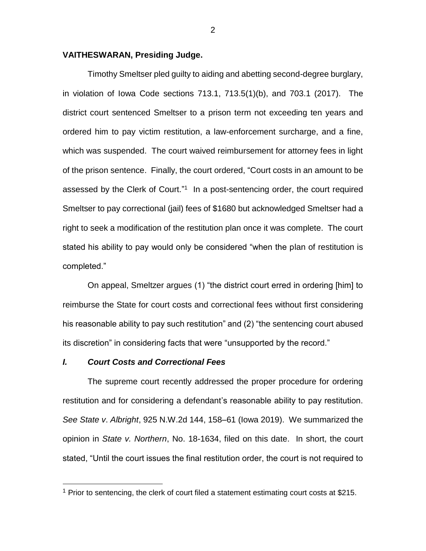### **VAITHESWARAN, Presiding Judge.**

Timothy Smeltser pled guilty to aiding and abetting second-degree burglary, in violation of Iowa Code sections 713.1, 713.5(1)(b), and 703.1 (2017). The district court sentenced Smeltser to a prison term not exceeding ten years and ordered him to pay victim restitution, a law-enforcement surcharge, and a fine, which was suspended. The court waived reimbursement for attorney fees in light of the prison sentence. Finally, the court ordered, "Court costs in an amount to be assessed by the Clerk of Court." 1 In a post-sentencing order, the court required Smeltser to pay correctional (jail) fees of \$1680 but acknowledged Smeltser had a right to seek a modification of the restitution plan once it was complete. The court stated his ability to pay would only be considered "when the plan of restitution is completed."

On appeal, Smeltzer argues (1) "the district court erred in ordering [him] to reimburse the State for court costs and correctional fees without first considering his reasonable ability to pay such restitution" and (2) "the sentencing court abused its discretion" in considering facts that were "unsupported by the record."

#### *I. Court Costs and Correctional Fees*

 $\overline{a}$ 

The supreme court recently addressed the proper procedure for ordering restitution and for considering a defendant's reasonable ability to pay restitution. *See State v*. *Albright*, 925 N.W.2d 144, 158–61 (Iowa 2019). We summarized the opinion in *State v. Northern*, No. 18-1634, filed on this date. In short, the court stated, "Until the court issues the final restitution order, the court is not required to

 $1$  Prior to sentencing, the clerk of court filed a statement estimating court costs at \$215.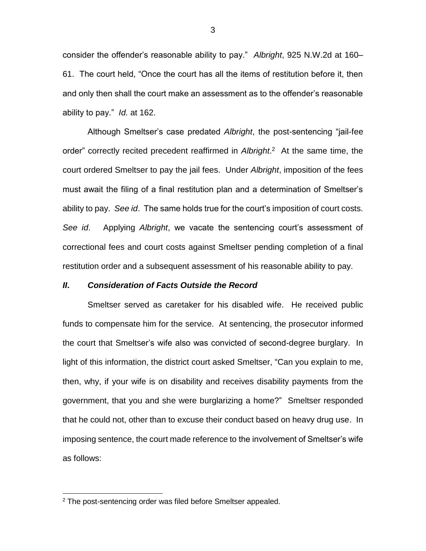consider the offender's reasonable ability to pay." *Albright*, 925 N.W.2d at 160– 61. The court held, "Once the court has all the items of restitution before it, then and only then shall the court make an assessment as to the offender's reasonable ability to pay." *Id.* at 162.

Although Smeltser's case predated *Albright*, the post-sentencing "jail-fee order" correctly recited precedent reaffirmed in *Albright*. 2 At the same time, the court ordered Smeltser to pay the jail fees. Under *Albright*, imposition of the fees must await the filing of a final restitution plan and a determination of Smeltser's ability to pay. *See id*. The same holds true for the court's imposition of court costs. *See id*. Applying *Albright*, we vacate the sentencing court's assessment of correctional fees and court costs against Smeltser pending completion of a final restitution order and a subsequent assessment of his reasonable ability to pay.

### *II***.** *Consideration of Facts Outside the Record*

Smeltser served as caretaker for his disabled wife. He received public funds to compensate him for the service. At sentencing, the prosecutor informed the court that Smeltser's wife also was convicted of second-degree burglary. In light of this information, the district court asked Smeltser, "Can you explain to me, then, why, if your wife is on disability and receives disability payments from the government, that you and she were burglarizing a home?" Smeltser responded that he could not, other than to excuse their conduct based on heavy drug use. In imposing sentence, the court made reference to the involvement of Smeltser's wife as follows:

 $\overline{a}$ 

 $2$  The post-sentencing order was filed before Smeltser appealed.